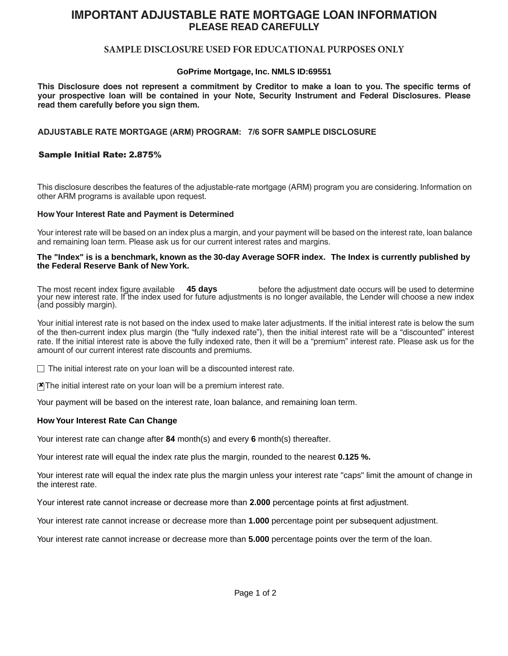# **IMPORTANT ADJUSTABLE RATE MORTGAGE LOAN INFORMATION PLEASE READ CAREFULLY**

# **SAMPLE DISCLOSURE USED FOR EDUCATIONAL PURPOSES ONLY**

## **GoPrime Mortgage, Inc. NMLS ID:69551**

This Disclosure does not represent a commitment by Creditor to make a loan to you. The specific terms of **your prospective loan will be contained in your Note, Security Instrument and Federal Disclosures. Please read them carefully before you sign them.**

## **ADJUSTABLE RATE MORTGAGE (ARM) PROGRAM: 7/6 SOFR SAMPLE DISCLOSURE**

### Sample Initial Rate: 2.875%

This disclosure describes the features of the adjustable-rate mortgage (ARM) program you are considering. Information on other ARM programs is available upon request.

#### **How Your Interest Rate and Payment is Determined**

Your interest rate will be based on an index plus a margin, and your payment will be based on the interest rate, loan balance and remaining loan term. Please ask us for our current interest rates and margins.

#### **The "Index" is is a benchmark, known as the 30-day Average SOFR index. The Index is currently published by the Federal Reserve Bank of New York.**

The most recent index figure available **45 days** before the adjustment date occurs will be used to determine your new interest rate. If the index used for future adjustments is no longer available, the Lender will choose a new index (and possibly margin).

Your initial interest rate is not based on the index used to make later adjustments. If the initial interest rate is below the sum of the then-current index plus margin (the "fully indexed rate"), then the initial interest rate will be a "discounted" interest rate. If the initial interest rate is above the fully indexed rate, then it will be a "premium" interest rate. Please ask us for the amount of our current interest rate discounts and premiums.

 $\Box$  The initial interest rate on your loan will be a discounted interest rate.

 $\mathbf{X}$  The initial interest rate on your loan will be a premium interest rate.

Your payment will be based on the interest rate, loan balance, and remaining loan term.

#### **How Your Interest Rate Can Change**

Your interest rate can change after **84** month(s) and every **6** month(s) thereafter.

Your interest rate will equal the index rate plus the margin, rounded to the nearest **0.125 %.**

Your interest rate will equal the index rate plus the margin unless your interest rate "caps" limit the amount of change in the interest rate.

Your interest rate cannot increase or decrease more than **2.000** percentage points at first adjustment.

Your interest rate cannot increase or decrease more than **1.000** percentage point per subsequent adjustment.

Your interest rate cannot increase or decrease more than **5.000** percentage points over the term of the loan.